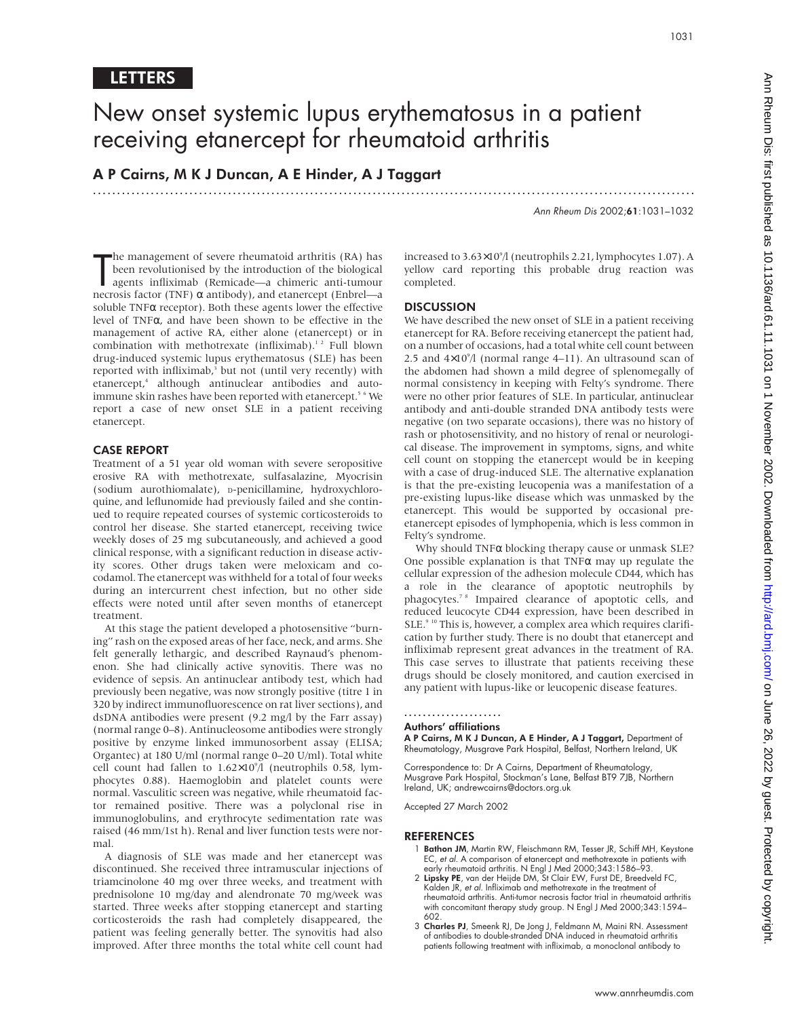## New onset systemic lupus erythematosus in a patient receiving etanercept for rheumatoid arthritis

.............................................................................................................................

A P Cairns, M K J Duncan, A E Hinder, A J Taggart

Ann Rheum Dis 2002;61:1031–1032

The management of severe rheumatoid arthritis (RA) has<br>been revolutionised by the introduction of the biological<br>agents infliximab (Remicade—a chimeric anti-tumour<br>necrosis factor (TNF) α antibody), and etanercept (Enbre he management of severe rheumatoid arthritis (RA) has been revolutionised by the introduction of the biological agents infliximab (Remicade—a chimeric anti-tumour soluble  $TNF\alpha$  receptor). Both these agents lower the effective level of TNFα, and have been shown to be effective in the management of active RA, either alone (etanercept) or in combination with methotrexate (infliximab).<sup>12</sup> Full blown drug-induced systemic lupus erythematosus (SLE) has been reported with infliximab,<sup>3</sup> but not (until very recently) with etanercept,<sup>4</sup> although antinuclear antibodies and autoimmune skin rashes have been reported with etanercept.<sup>5</sup> <sup>6</sup> We report a case of new onset SLE in a patient receiving etanercept.

## CASE REPORT

Treatment of a 51 year old woman with severe seropositive erosive RA with methotrexate, sulfasalazine, Myocrisin (sodium aurothiomalate), D-penicillamine, hydroxychloroquine, and leflunomide had previously failed and she continued to require repeated courses of systemic corticosteroids to control her disease. She started etanercept, receiving twice weekly doses of 25 mg subcutaneously, and achieved a good clinical response, with a significant reduction in disease activity scores. Other drugs taken were meloxicam and cocodamol. The etanercept was withheld for a total of four weeks during an intercurrent chest infection, but no other side effects were noted until after seven months of etanercept treatment.

At this stage the patient developed a photosensitive "burning" rash on the exposed areas of her face, neck, and arms. She felt generally lethargic, and described Raynaud's phenomenon. She had clinically active synovitis. There was no evidence of sepsis. An antinuclear antibody test, which had previously been negative, was now strongly positive (titre 1 in 320 by indirect immunofluorescence on rat liver sections), and dsDNA antibodies were present (9.2 mg/l by the Farr assay) (normal range 0–8). Antinucleosome antibodies were strongly positive by enzyme linked immunosorbent assay (ELISA; Organtec) at 180 U/ml (normal range 0–20 U/ml). Total white cell count had fallen to  $1.62\times10^{9}/1$  (neutrophils 0.58, lymphocytes 0.88). Haemoglobin and platelet counts were normal. Vasculitic screen was negative, while rheumatoid factor remained positive. There was a polyclonal rise in immunoglobulins, and erythrocyte sedimentation rate was raised (46 mm/1st h). Renal and liver function tests were normal.

A diagnosis of SLE was made and her etanercept was discontinued. She received three intramuscular injections of triamcinolone 40 mg over three weeks, and treatment with prednisolone 10 mg/day and alendronate 70 mg/week was started. Three weeks after stopping etanercept and starting corticosteroids the rash had completely disappeared, the patient was feeling generally better. The synovitis had also improved. After three months the total white cell count had

increased to 3.63×109 /l (neutrophils 2.21, lymphocytes 1.07). A yellow card reporting this probable drug reaction was completed.

## **DISCUSSION**

We have described the new onset of SLE in a patient receiving etanercept for RA. Before receiving etanercept the patient had, on a number of occasions, had a total white cell count between 2.5 and  $4\times10^{9}$ /l (normal range  $4-11$ ). An ultrasound scan of the abdomen had shown a mild degree of splenomegally of normal consistency in keeping with Felty's syndrome. There were no other prior features of SLE. In particular, antinuclear antibody and anti-double stranded DNA antibody tests were negative (on two separate occasions), there was no history of rash or photosensitivity, and no history of renal or neurological disease. The improvement in symptoms, signs, and white cell count on stopping the etanercept would be in keeping with a case of drug-induced SLE. The alternative explanation is that the pre-existing leucopenia was a manifestation of a pre-existing lupus-like disease which was unmasked by the etanercept. This would be supported by occasional preetanercept episodes of lymphopenia, which is less common in Felty's syndrome.

Why should TNFα blocking therapy cause or unmask SLE? One possible explanation is that  $TNF\alpha$  may up regulate the cellular expression of the adhesion molecule CD44, which has a role in the clearance of apoptotic neutrophils by phagocytes.<sup>78</sup> Impaired clearance of apoptotic cells, and reduced leucocyte CD44 expression, have been described in SLE.<sup>9 10</sup> This is, however, a complex area which requires clarification by further study. There is no doubt that etanercept and infliximab represent great advances in the treatment of RA. This case serves to illustrate that patients receiving these drugs should be closely monitored, and caution exercised in any patient with lupus-like or leucopenic disease features.

## .....................

## Authors' affiliations

A P Cairns, M K J Duncan, A E Hinder, A J Taggart, Department of Rheumatology, Musgrave Park Hospital, Belfast, Northern Ireland, UK

Correspondence to: Dr A Cairns, Department of Rheumatology, Musgrave Park Hospital, Stockman's Lane, Belfast BT9 7JB, Northern Ireland, UK; andrewcairns@doctors.org.uk

Accepted 27 March 2002

## REFERENCES

- Bathon JM, Martin RW, Fleischmann RM, Tesser JR, Schiff MH, Keystone EC, et al. A comparison of etanercept and methotrexate in patients with early rheumatoid arthritis. N Engl J Med 2000;343:1586–93.
- 2 Lipsky PE, van der Heijde DM, St Clair EW, Furst DE, Breedveld FC, Kalden JR, et al. Infliximab and methotrexate in the treatment of rheumatoid arthritis. Anti-tumor necrosis factor trial in rheumatoid arthritis with concomitant therapy study group. N Engl J Med 2000;343:1594– 602.
- 3 Charles PJ, Smeenk RJ, De Jong J, Feldmann M, Maini RN. Assessment of antibodies to double-stranded DNA induced in rheumatoid arthritis patients following treatment with infliximab, a monoclonal antibody to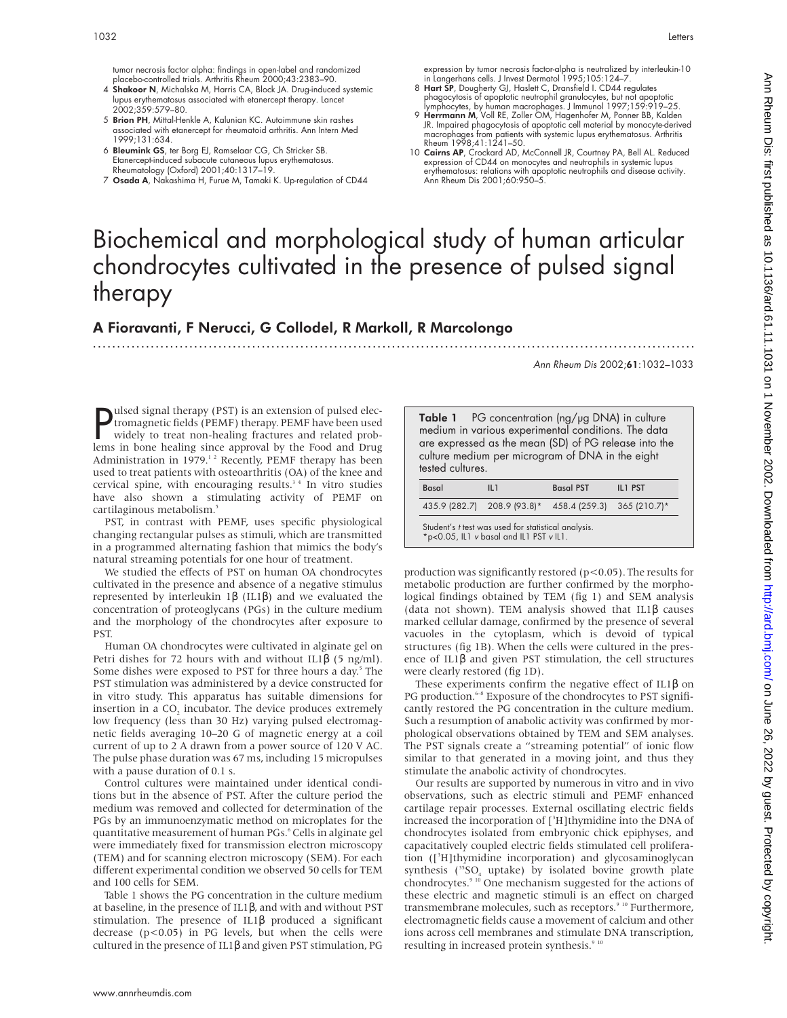tumor necrosis factor alpha: findings in open-label and randomized placebo-controlled trials. Arthritis Rheum 2000;43:2383–90.

- 4 Shakoor N, Michalska M, Harris CA, Block JA. Drug-induced systemic lupus erythematosus associated with etanercept therapy. Lancet 2002;359:579–80.
- 5 Brion PH, Mittal-Henkle A, Kalunian KC. Autoimmune skin rashes associated with etanercept for rheumatoid arthritis. Ann Intern Med 1999;131:634.
- 6 Bleumink GS, ter Borg EJ, Ramselaar CG, Ch Stricker SB. Etanercept-induced subacute cutaneous lupus erythematosus.<br>Rheumatology (Oxford) 2001;40:1317–19.<br>7 **Osada A**, Nakashima H, Furue M, Tamaki K. Up-regulation of CD44
- 

expression by tumor necrosis factor-alpha is neutralized by interleukin-10 in Langerhans cells. J Invest Dermatol 1995;105:124–7.

- 8 Hart SP, Dougherty GJ, Haslett C, Dransfield I. CD44 regulates phagocytosis of apoptotic neutrophil granulocytes, but not apoptotic lymphocytes, by human macrophages. J Immunol 1997;159:919–25.
- 9 Herrmann M, Voll RE, Zoller OM, Hagenhofer M, Ponner BB, Kalden JR. Impaired phagocytosis of apoptotic cell material by monocyte-derived macrophages from patients with systemic lupus erythematosus. Arthritis Rheum 1998;41:1241–50.
- 10 Cairns AP, Crockard AD, McConnell JR, Courtney PA, Bell AL. Reduced expression of CD44 on monocytes and neutrophils in systemic lupus erythematosus: relations with apoptotic neutrophils and disease activity. Ann Rheum Dis 2001;60:950–5.

# Biochemical and morphological study of human articular chondrocytes cultivated in the presence of pulsed signal therapy

.............................................................................................................................

## A Fioravanti, F Nerucci, G Collodel, R Markoll, R Marcolongo

Ann Rheum Dis 2002;61:1032–1033

**P** ulsed signal therapy (PST) is an extension of pulsed electromagnetic fields (PEMF) therapy. PEMF have been used widely to treat non-healing fractures and related problems in bone healing since approval by the Food and ulsed signal therapy (PST) is an extension of pulsed electromagnetic fields (PEMF) therapy. PEMF have been used widely to treat non-healing fractures and related prob-Administration in 1979.<sup>12</sup> Recently, PEMF therapy has been used to treat patients with osteoarthritis (OA) of the knee and cervical spine, with encouraging results.<sup>34</sup> In vitro studies have also shown a stimulating activity of PEMF on cartilaginous metabolism.5

PST, in contrast with PEMF, uses specific physiological changing rectangular pulses as stimuli, which are transmitted in a programmed alternating fashion that mimics the body's natural streaming potentials for one hour of treatment.

We studied the effects of PST on human OA chondrocytes cultivated in the presence and absence of a negative stimulus represented by interleukin 1β (IL1β) and we evaluated the concentration of proteoglycans (PGs) in the culture medium and the morphology of the chondrocytes after exposure to PST.

Human OA chondrocytes were cultivated in alginate gel on Petri dishes for 72 hours with and without IL1 $\beta$  (5 ng/ml). Some dishes were exposed to PST for three hours a day.<sup>5</sup> The PST stimulation was administered by a device constructed for in vitro study. This apparatus has suitable dimensions for insertion in a CO<sub>2</sub> incubator. The device produces extremely low frequency (less than 30 Hz) varying pulsed electromagnetic fields averaging 10–20 G of magnetic energy at a coil current of up to 2 A drawn from a power source of 120 V AC. The pulse phase duration was 67 ms, including 15 micropulses with a pause duration of 0.1 s.

Control cultures were maintained under identical conditions but in the absence of PST. After the culture period the medium was removed and collected for determination of the PGs by an immunoenzymatic method on microplates for the quantitative measurement of human PGs.<sup>6</sup> Cells in alginate gel were immediately fixed for transmission electron microscopy (TEM) and for scanning electron microscopy (SEM). For each different experimental condition we observed 50 cells for TEM and 100 cells for SEM.

Table 1 shows the PG concentration in the culture medium at baseline, in the presence of IL1β, and with and without PST stimulation. The presence of IL1β produced a significant decrease ( $p$ <0.05) in PG levels, but when the cells were cultured in the presence of IL1β and given PST stimulation, PG

Table 1 PG concentration (ng/µg DNA) in culture medium in various experimental conditions. The data are expressed as the mean (SD) of PG release into the culture medium per microgram of DNA in the eight tested cultures.

| <b>Basal</b>                                                                                   | <b>Basal PST</b><br>II <sub>1</sub> |                                                        | IL1 PST |  |  |  |  |  |
|------------------------------------------------------------------------------------------------|-------------------------------------|--------------------------------------------------------|---------|--|--|--|--|--|
|                                                                                                |                                     | 435.9 (282.7) 208.9 (93.8)* 458.4 (259.3) 365 (210.7)* |         |  |  |  |  |  |
| Student's t test was used for statistical analysis.<br>*p<0.05, IL1 v basal and IL1 PST v IL1. |                                     |                                                        |         |  |  |  |  |  |

production was significantly restored ( $p$ <0.05). The results for metabolic production are further confirmed by the morphological findings obtained by TEM (fig 1) and SEM analysis (data not shown). TEM analysis showed that IL1β causes marked cellular damage, confirmed by the presence of several vacuoles in the cytoplasm, which is devoid of typical structures (fig 1B). When the cells were cultured in the presence of IL1β and given PST stimulation, the cell structures were clearly restored (fig 1D).

These experiments confirm the negative effect of IL1β on PG production.<sup>6-8</sup> Exposure of the chondrocytes to PST significantly restored the PG concentration in the culture medium. Such a resumption of anabolic activity was confirmed by morphological observations obtained by TEM and SEM analyses. The PST signals create a "streaming potential" of ionic flow similar to that generated in a moving joint, and thus they stimulate the anabolic activity of chondrocytes.

Our results are supported by numerous in vitro and in vivo observations, such as electric stimuli and PEMF enhanced cartilage repair processes. External oscillating electric fields increased the incorporation of [<sup>3</sup>H]thymidine into the DNA of chondrocytes isolated from embryonic chick epiphyses, and capacitatively coupled electric fields stimulated cell proliferation ([3 H]thymidine incorporation) and glycosaminoglycan synthesis ( ${}^{35}SO_4$  uptake) by isolated bovine growth plate chondrocytes.9 10 One mechanism suggested for the actions of these electric and magnetic stimuli is an effect on charged transmembrane molecules, such as receptors.<sup>9 10</sup> Furthermore, electromagnetic fields cause a movement of calcium and other ions across cell membranes and stimulate DNA transcription, resulting in increased protein synthesis.<sup>9 10</sup>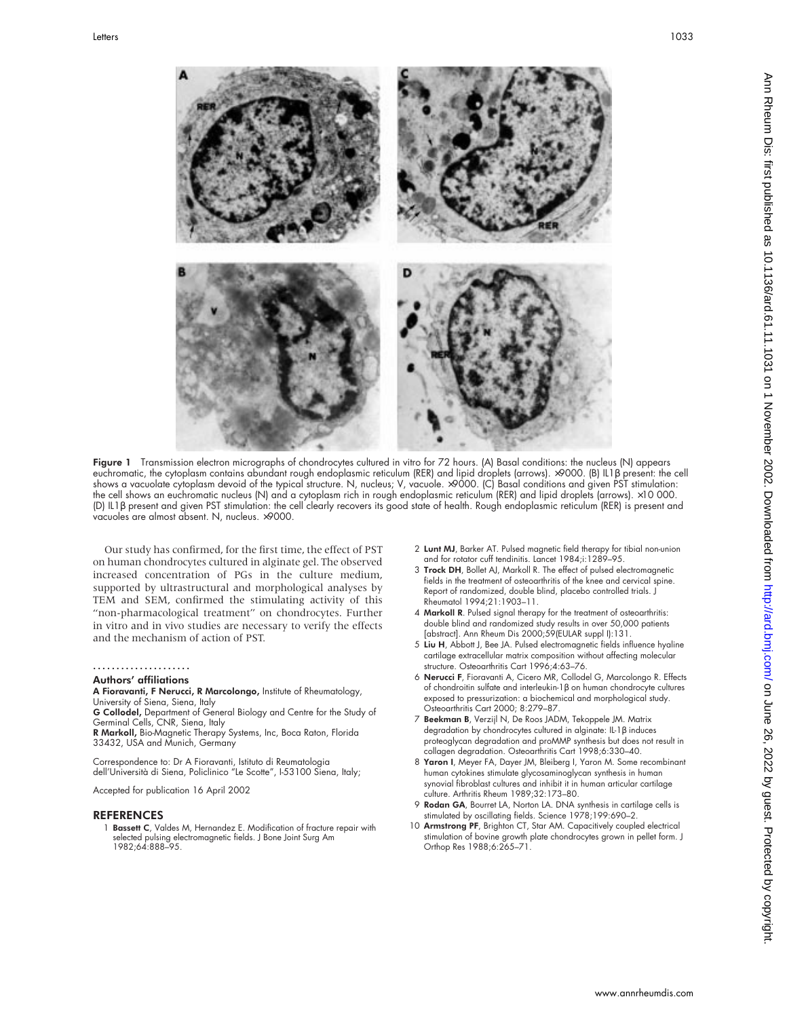

Figure 1 Transmission electron micrographs of chondrocytes cultured in vitro for 72 hours. (A) Basal conditions: the nucleus (N) appears euchromatic, the cytoplasm contains abundant rough endoplasmic reticulum (RER) and lipid droplets (arrows). ×9000. (B) IL1β present: the cell shows a vacuolate cytoplasm devoid of the typical structure. N, nucleus; V, vacuole. ×9000. (C) Basal conditions and given PST stimulation: the cell shows an euchromatic nucleus (N) and a cytoplasm rich in rough endoplasmic reticulum (RER) and lipid droplets (arrows). ×10 000. (D) IL1β present and given PST stimulation: the cell clearly recovers its good state of health. Rough endoplasmic reticulum (RER) is present and vacuoles are almost absent. N, nucleus. ×9000.

Our study has confirmed, for the first time, the effect of PST on human chondrocytes cultured in alginate gel. The observed increased concentration of PGs in the culture medium, supported by ultrastructural and morphological analyses by TEM and SEM, confirmed the stimulating activity of this "non-pharmacological treatment" on chondrocytes. Further in vitro and in vivo studies are necessary to verify the effects and the mechanism of action of PST.

### .....................

## Authors' affiliations

A Fioravanti, F Nerucci, R Marcolongo, Institute of Rheumatology, University of Siena, Siena, Italy

G Collodel, Department of General Biology and Centre for the Study of Germinal Cells, CNR, Siena, Italy

R Markoll, Bio-Magnetic Therapy Systems, Inc, Boca Raton, Florida 33432, USA and Munich, Germany

Correspondence to: Dr A Fioravanti, Istituto di Reumatologia dell'Università di Siena, Policlinico "Le Scotte", I-53100 Siena, Italy;

Accepted for publication 16 April 2002

#### **REFERENCES**

1 Bassett C, Valdes M, Hernandez E. Modification of fracture repair with selected pulsing electromagnetic fields. J Bone Joint Surg Am 1982;64:888–95.

- 2 Lunt MJ, Barker AT. Pulsed magnetic field therapy for tibial non-union and for rotator cuff tendinitis. Lancet 1984;i:1289-95.
- 3 Trock DH, Bollet AJ, Markoll R. The effect of pulsed electromagnetic fields in the treatment of osteoarthritis of the knee and cervical spine. Report of randomized, double blind, placebo controlled trials. J Rheumatol 1994;21:1903–11.
- 4 Markoll R. Pulsed signal therapy for the treatment of osteoarthritis: double blind and randomized study results in over 50,000 patients [abstract]. Ann Rheum Dis 2000;59(EULAR suppl I):131.
- 5 Liu H, Abbott J, Bee JA. Pulsed electromagnetic fields influence hyaline cartilage extracellular matrix composition without affecting molecular structure. Osteoarthritis Cart 1996;4:63–76.
- 6 Nerucci F, Fioravanti A, Cicero MR, Collodel G, Marcolongo R. Effects of chondroitin sulfate and interleukin-1β on human chondrocyte cultures exposed to pressurization: a biochemical and morphological study. Osteoarthritis Cart 2000; 8:279–87.
- 7 Beekman B, Verzijl N, De Roos JADM, Tekoppele JM. Matrix degradation by chondrocytes cultured in alginate: IL-1β induces proteoglycan degradation and proMMP synthesis but does not result in collagen degradation. Osteoarthritis Cart 1998;6:330–40.
- 8 Yaron I, Meyer FA, Dayer JM, Bleiberg I, Yaron M. Some recombinant human cytokines stimulate glycosaminoglycan synthesis in human synovial fibroblast cultures and inhibit it in human articular cartilage culture. Arthritis Rheum 1989;32:173–80.
- 9 Rodan GA, Bourret LA, Norton LA. DNA synthesis in cartilage cells is stimulated by oscillating fields. Science 1978;199:690–2.
- 10 Armstrong PF, Brighton CT, Star AM. Capacitively coupled electrical stimulation of bovine growth plate chondrocytes grown in pellet form. J Orthop Res 1988;6:265–71.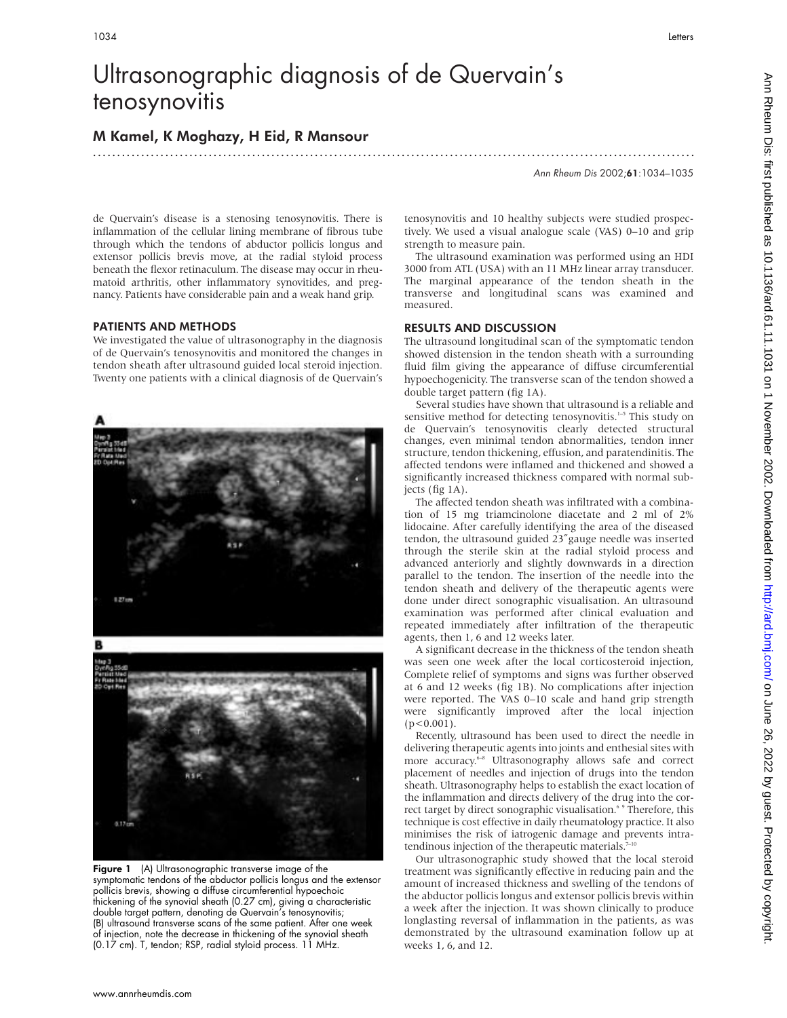# Ultrasonographic diagnosis of de Quervain's tenosynovitis

.............................................................................................................................

## M Kamel, K Moghazy, H Eid, R Mansour

Ann Rheum Dis 2002;61:1034–1035

de Quervain's disease is a stenosing tenosynovitis. There is inflammation of the cellular lining membrane of fibrous tube through which the tendons of abductor pollicis longus and extensor pollicis brevis move, at the radial styloid process beneath the flexor retinaculum. The disease may occur in rheumatoid arthritis, other inflammatory synovitides, and pregnancy. Patients have considerable pain and a weak hand grip.

## PATIENTS AND METHODS

We investigated the value of ultrasonography in the diagnosis of de Quervain's tenosynovitis and monitored the changes in tendon sheath after ultrasound guided local steroid injection. Twenty one patients with a clinical diagnosis of de Quervain's



Figure 1 (A) Ultrasonographic transverse image of the symptomatic tendons of the abductor pollicis longus and the extensor pollicis brevis, showing a diffuse circumferential hypoechoic thickening of the synovial sheath (0.27 cm), giving a characteristic double target pattern, denoting de Quervain's tenosynovitis; (B) ultrasound transverse scans of the same patient. After one week of injection, note the decrease in thickening of the synovial sheath (0.17 cm). T, tendon; RSP, radial styloid process. 11 MHz.

tenosynovitis and 10 healthy subjects were studied prospectively. We used a visual analogue scale (VAS) 0–10 and grip strength to measure pain.

The ultrasound examination was performed using an HDI 3000 from ATL (USA) with an 11 MHz linear array transducer. The marginal appearance of the tendon sheath in the transverse and longitudinal scans was examined and measured.

## RESULTS AND DISCUSSION

The ultrasound longitudinal scan of the symptomatic tendon showed distension in the tendon sheath with a surrounding fluid film giving the appearance of diffuse circumferential hypoechogenicity. The transverse scan of the tendon showed a double target pattern (fig 1A).

Several studies have shown that ultrasound is a reliable and sensitive method for detecting tenosynovitis.<sup>1-5</sup> This study on de Quervain's tenosynovitis clearly detected structural changes, even minimal tendon abnormalities, tendon inner structure, tendon thickening, effusion, and paratendinitis. The affected tendons were inflamed and thickened and showed a significantly increased thickness compared with normal subjects (fig 1A).

The affected tendon sheath was infiltrated with a combination of 15 mg triamcinolone diacetate and 2 ml of 2% lidocaine. After carefully identifying the area of the diseased tendon, the ultrasound guided 23″gauge needle was inserted through the sterile skin at the radial styloid process and advanced anteriorly and slightly downwards in a direction parallel to the tendon. The insertion of the needle into the tendon sheath and delivery of the therapeutic agents were done under direct sonographic visualisation. An ultrasound examination was performed after clinical evaluation and repeated immediately after infiltration of the therapeutic agents, then 1, 6 and 12 weeks later.

A significant decrease in the thickness of the tendon sheath was seen one week after the local corticosteroid injection, Complete relief of symptoms and signs was further observed at 6 and 12 weeks (fig 1B). No complications after injection were reported. The VAS 0–10 scale and hand grip strength were significantly improved after the local injection  $(p<0.001)$ .

Recently, ultrasound has been used to direct the needle in delivering therapeutic agents into joints and enthesial sites with more accuracy.<sup>6-8</sup> Ultrasonography allows safe and correct placement of needles and injection of drugs into the tendon sheath. Ultrasonography helps to establish the exact location of the inflammation and directs delivery of the drug into the correct target by direct sonographic visualisation.<sup>6</sup> <sup>9</sup> Therefore, this technique is cost effective in daily rheumatology practice. It also minimises the risk of iatrogenic damage and prevents intratendinous injection of the therapeutic materials.<sup>7-1</sup>

Our ultrasonographic study showed that the local steroid treatment was significantly effective in reducing pain and the amount of increased thickness and swelling of the tendons of the abductor pollicis longus and extensor pollicis brevis within a week after the injection. It was shown clinically to produce longlasting reversal of inflammation in the patients, as was demonstrated by the ultrasound examination follow up at weeks 1, 6, and 12.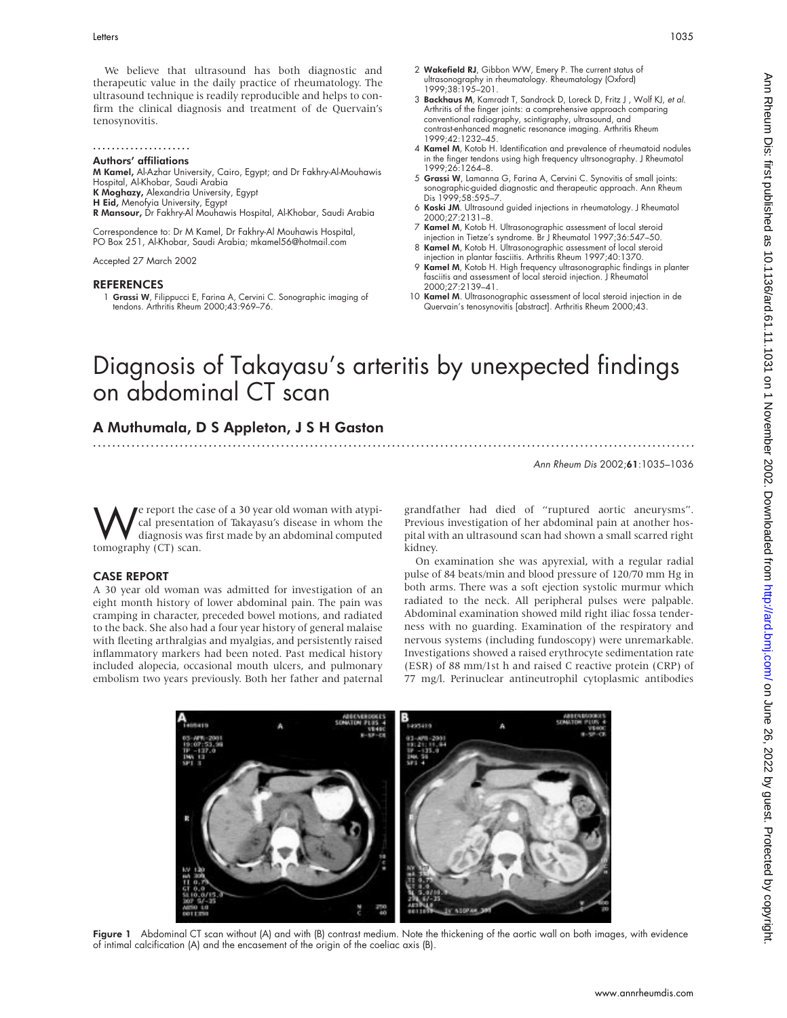We believe that ultrasound has both diagnostic and therapeutic value in the daily practice of rheumatology. The ultrasound technique is readily reproducible and helps to confirm the clinical diagnosis and treatment of de Quervain's tenosynovitis.

## .....................

Authors' affiliations

M Kamel, Al-Azhar University, Cairo, Egypt; and Dr Fakhry-Al-Mouhawis Hospital, Al-Khobar, Saudi Arabia K Moghazy, Alexandria University, Egypt H Eid, Menofyia University, Egypt R Mansour, Dr Fakhry-Al Mouhawis Hospital, Al-Khobar, Saudi Arabia

Correspondence to: Dr M Kamel, Dr Fakhry-Al Mouhawis Hospital, PO Box 251, Al-Khobar, Saudi Arabia; mkamel56@hotmail.com

Accepted 27 March 2002

### **REFERENCES**

1 Grassi W, Filippucci E, Farina A, Cervini C. Sonographic imaging of tendons. Arthritis Rheum 2000;43:969–76.

- 2 Wakefield RJ, Gibbon WW, Emery P. The current status of ultrasonography in rheumatology. Rheumatology (Oxford) 1999;38:195–201.
- 3 Backhaus M, Kamradt T, Sandrock D, Loreck D, Fritz J, Wolf KJ, et al. Arthritis of the finger joints: a comprehensive approach comparing conventional radiography, scintigraphy, ultrasound, and contrast-enhanced magnetic resonance imaging. Arthritis Rheum 1999;42:1232–45.
- 4 Kamel M, Kotob H. Identification and prevalence of rheumatoid nodules in the finger tendons using high frequency ultrsonography. J Rheumatol 1999;26:1264–8.
- 5 Grassi W, Lamanna G, Farina A, Cervini C. Synovitis of small joints: sonographic-guided diagnostic and therapeutic approach. Ann Rheum Dis 1999;58:595–7.
- 6 Koski JM. Ultrasound guided injections in rheumatology. J Rheumatol 2000;27:2131–8.
- 7 Kamel M, Kotob H. Ultrasonographic assessment of local steroid injection in Tietze's syndrome. Br J Rheumatol 1997;36:547–50.
- 8 Kamel M, Kotob H. Ultrasonographic assessment of local steroid injection in plantar fasciitis. Arthritis Rheum 1997;40:1370.
- 9 Kamel M, Kotob H. High frequency ultrasonographic findings in planter fasciitis and assessment of local steroid injection. J Rheumatol 2000;27:2139–41.
- 10 Kamel M. Ultrasonographic assessment of local steroid injection in de Quervain's tenosynovitis [abstract]. Arthritis Rheum 2000;43.

# Diagnosis of Takayasu's arteritis by unexpected findings on abdominal CT scan

.............................................................................................................................

## A Muthumala, D S Appleton,JSH Gaston

Ann Rheum Dis 2002;61:1035–1036

www.annrheumdis.com

**We** report the case of a 30 year old woman with atypical presentation of Takayasu's disease in whom the diagnosis was first made by an abdominal computed cal presentation of Takayasu's disease in whom the diagnosis was first made by an abdominal computed tomography (CT) scan.

## CASE REPORT

A 30 year old woman was admitted for investigation of an eight month history of lower abdominal pain. The pain was cramping in character, preceded bowel motions, and radiated to the back. She also had a four year history of general malaise with fleeting arthralgias and myalgias, and persistently raised inflammatory markers had been noted. Past medical history included alopecia, occasional mouth ulcers, and pulmonary embolism two years previously. Both her father and paternal

grandfather had died of "ruptured aortic aneurysms". Previous investigation of her abdominal pain at another hospital with an ultrasound scan had shown a small scarred right kidney.

On examination she was apyrexial, with a regular radial pulse of 84 beats/min and blood pressure of 120/70 mm Hg in both arms. There was a soft ejection systolic murmur which radiated to the neck. All peripheral pulses were palpable. Abdominal examination showed mild right iliac fossa tenderness with no guarding. Examination of the respiratory and nervous systems (including fundoscopy) were unremarkable. Investigations showed a raised erythrocyte sedimentation rate (ESR) of 88 mm/1st h and raised C reactive protein (CRP) of 77 mg/l. Perinuclear antineutrophil cytoplasmic antibodies



Figure 1 Abdominal CT scan without (A) and with (B) contrast medium. Note the thickening of the aortic wall on both images, with evidence of intimal calcification (A) and the encasement of the origin of the coeliac axis (B).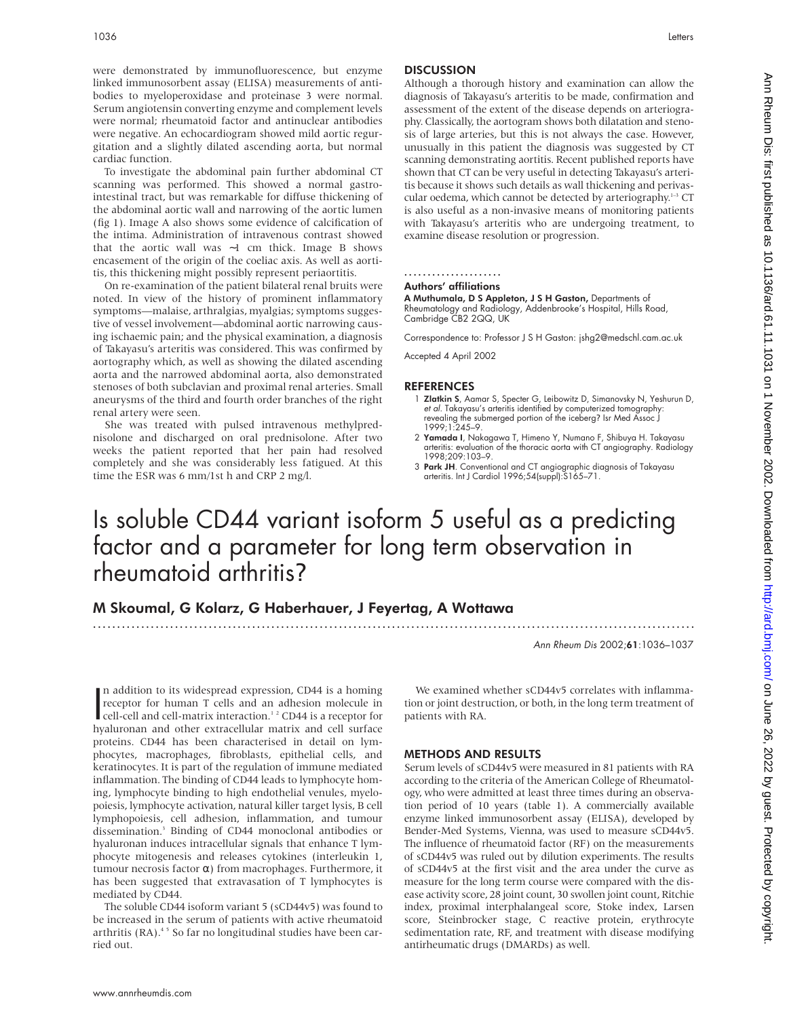were demonstrated by immunofluorescence, but enzyme linked immunosorbent assay (ELISA) measurements of antibodies to myeloperoxidase and proteinase 3 were normal. Serum angiotensin converting enzyme and complement levels were normal; rheumatoid factor and antinuclear antibodies were negative. An echocardiogram showed mild aortic regurgitation and a slightly dilated ascending aorta, but normal cardiac function.

To investigate the abdominal pain further abdominal CT scanning was performed. This showed a normal gastrointestinal tract, but was remarkable for diffuse thickening of the abdominal aortic wall and narrowing of the aortic lumen (fig 1). Image A also shows some evidence of calcification of the intima. Administration of intravenous contrast showed that the aortic wall was ∼1 cm thick. Image B shows encasement of the origin of the coeliac axis. As well as aortitis, this thickening might possibly represent periaortitis.

On re-examination of the patient bilateral renal bruits were noted. In view of the history of prominent inflammatory symptoms—malaise, arthralgias, myalgias; symptoms suggestive of vessel involvement—abdominal aortic narrowing causing ischaemic pain; and the physical examination, a diagnosis of Takayasu's arteritis was considered. This was confirmed by aortography which, as well as showing the dilated ascending aorta and the narrowed abdominal aorta, also demonstrated stenoses of both subclavian and proximal renal arteries. Small aneurysms of the third and fourth order branches of the right renal artery were seen.

She was treated with pulsed intravenous methylprednisolone and discharged on oral prednisolone. After two weeks the patient reported that her pain had resolved completely and she was considerably less fatigued. At this time the ESR was 6 mm/1st h and CRP 2 mg/l.

## **DISCUSSION**

Although a thorough history and examination can allow the diagnosis of Takayasu's arteritis to be made, confirmation and assessment of the extent of the disease depends on arteriography. Classically, the aortogram shows both dilatation and stenosis of large arteries, but this is not always the case. However, unusually in this patient the diagnosis was suggested by CT scanning demonstrating aortitis. Recent published reports have shown that CT can be very useful in detecting Takayasu's arteritis because it shows such details as wall thickening and perivascular oedema, which cannot be detected by arteriography.<sup>1-3</sup> CT is also useful as a non-invasive means of monitoring patients with Takayasu's arteritis who are undergoing treatment, to examine disease resolution or progression.

#### ..................... Authors' affiliations

A Muthumala, D S Appleton, J S H Gaston, Departments of

Rheumatology and Radiology, Addenbrooke's Hospital, Hills Road, Cambridge CB2 2QQ, UK

Correspondence to: Professor J S H Gaston: jshg2@medschl.cam.ac.uk

Accepted 4 April 2002

## REFERENCES

- 1 Zlatkin S, Aamar S, Specter G, Leibowitz D, Simanovsky N, Yeshurun D, et al. Takayasu's arteritis identified by computerized tomography: revealing the submerged portion of the iceberg? Isr Med Assoc J 1999;1:245–9.
- 2 Yamada I, Nakagawa T, Himeno Y, Numano F, Shibuya H. Takayasu arteritis: evaluation of the thoracic aorta with CT angiography. Radiology 1998;209:103–9.
- 3 Park JH. Conventional and CT angiographic diagnosis of Takayasu arteritis. Int J Cardiol 1996;54(suppl):S165–71.

## Is soluble CD44 variant isoform 5 useful as a predicting factor and a parameter for long term observation in rheumatoid arthritis?

.............................................................................................................................

## M Skoumal, G Kolarz, G Haberhauer, J Feyertag, A Wottawa

Ann Rheum Dis 2002;61:1036–1037

n addition to its widespread expression, CD44 is a homing<br>receptor for human T cells and an adhesion molecule in<br>cell-cell and cell-matrix interaction.<sup>12</sup> CD44 is a receptor for<br>hyduronan, and other extracellular matrix a n addition to its widespread expression, CD44 is a homing receptor for human T cells and an adhesion molecule in hyaluronan and other extracellular matrix and cell surface proteins. CD44 has been characterised in detail on lymphocytes, macrophages, fibroblasts, epithelial cells, and keratinocytes. It is part of the regulation of immune mediated inflammation. The binding of CD44 leads to lymphocyte homing, lymphocyte binding to high endothelial venules, myelopoiesis, lymphocyte activation, natural killer target lysis, B cell lymphopoiesis, cell adhesion, inflammation, and tumour dissemination.3 Binding of CD44 monoclonal antibodies or hyaluronan induces intracellular signals that enhance T lymphocyte mitogenesis and releases cytokines (interleukin 1, tumour necrosis factor α) from macrophages. Furthermore, it has been suggested that extravasation of T lymphocytes is mediated by CD44.

The soluble CD44 isoform variant 5 (sCD44v5) was found to be increased in the serum of patients with active rheumatoid arthritis (RA).<sup>45</sup> So far no longitudinal studies have been carried out.

We examined whether sCD44v5 correlates with inflammation or joint destruction, or both, in the long term treatment of patients with RA.

## METHODS AND RESULTS

Serum levels of sCD44v5 were measured in 81 patients with RA according to the criteria of the American College of Rheumatology, who were admitted at least three times during an observation period of 10 years (table 1). A commercially available enzyme linked immunosorbent assay (ELISA), developed by Bender-Med Systems, Vienna, was used to measure sCD44v5. The influence of rheumatoid factor (RF) on the measurements of sCD44v5 was ruled out by dilution experiments. The results of sCD44v5 at the first visit and the area under the curve as measure for the long term course were compared with the disease activity score, 28 joint count, 30 swollen joint count, Ritchie index, proximal interphalangeal score, Stoke index, Larsen score, Steinbrocker stage, C reactive protein, erythrocyte sedimentation rate, RF, and treatment with disease modifying antirheumatic drugs (DMARDs) as well.